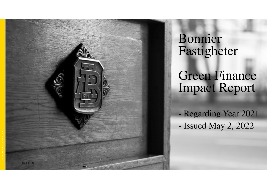

# Bonnier Fastigheter

Green Finance Impact Report

 Regarding Year 2021Issued May 2, 2022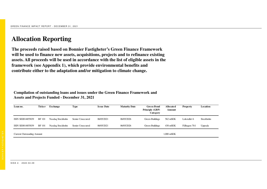## **Allocation Reporting**

**The proceeds raised based on Bonnier Fastigheter's Green Finance Framework will be used to finance new assets, acquisitions, projects and to refinance existing assets. All proceeds will be used in accordance with the list of eligible assets in the framework (see Appendix 1), which provide environmental benefits and contribute either to the adaptation and/or mitigation to climate change.** 

**Compilation of outstanding loans and issues under the Green Finance Framework and Assets and Projects Funded - December 31, 2021**

| Loan no.                          | <b>Ticker</b> | Exchange         | <b>Type</b>      | <b>Issue Date</b> | <b>Maturity Date</b> | <b>Green Bond</b><br>Principle (GBP)<br>Category | Allocated<br>Amount | <b>Property</b> | Location  |
|-----------------------------------|---------------|------------------|------------------|-------------------|----------------------|--------------------------------------------------|---------------------|-----------------|-----------|
| ISIN SE0014855839                 | <b>BF</b> 101 | Nasdaq Stockholm | Senior Unsecured | 06/05/2021        | 06/05/2026           | Green Buildings                                  | 562 mSEK            | Lokstallet 6    | Stockholm |
| ISIN SE0014855839                 | <b>BF</b> 101 | Nasdaq Stockholm | Senior Unsecured | 06/05/2021        | 06/05/2026           | Green Buildings                                  | 438 mSEK            | Fålhagen 70:1   | Uppsala   |
| <b>Current Outstanding Amount</b> |               |                  |                  |                   |                      |                                                  |                     |                 |           |

S ID A <sup>2</sup> . 2 0 2 2 - 0 4 - 2 9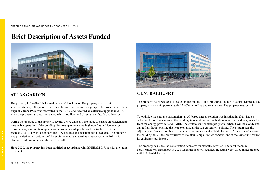### **Brief Description of Assets Funded**



#### **ATLAS GARDEN**

The property Lokstallet 6 is located in central Stockholm. The property consists of approximately 7,300 sqm office and health care space as well as garage. The property, which is originally from 1928, was renovated in the 1970s and received an extensive upgrade in 2016, when the property also was expanded with a top floor and given a new facade and interior.

During the upgrade of the property, several active choices were made to ensure an efficient and sustainable operation of the building. For example, to ensure high comfort and low energy consumption, a ventilation system was chosen that adapts the air flow to the use of the premises, i.e., at lower occupancy, the flow and thus the consumption is reduced. The property was provided with a sedum roof for environmental and aesthetic reasons, and in 2022 it is planned to add solar cells to this roof as well.

Since 2020, the property has been certified in accordance with BREEAM In-Use with the rating Excellent



#### **CENTRALHUSET**

The property Fålhagen 70:1 is located in the middle of the transportation hub in central Uppsala. The property consists of approximately 12,600 sqm office and retail space. The property was built in 2012.

To optimize the energy consumption, an AI-based energy solution was installed in 2021. Data is collected from CO2 meters in the building, temperature sensors both indoors and outdoors, as well as from the energy provider and SMHI. The system can for example predict when it will be cloudy and can refrain from lowering the heat even though the sun currently is shining. The system can also adjust the air flows according to how many people are on site. With the help of a well-tuned system, the building has all the prerequisites to maintain a high level of comfort, and at the same time reduce its environmental impact.

The property has since the construction been environmentally certified. The most recent recertification was carried out in 2021 when the property retained the rating Very Good in accordance with **BREEAM** In-Use.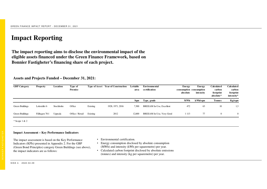## **Impact Reporting**

**The impact reporting aims to disclose the environmental impact of the eligible assets financed under the Green Finance Framework, based on Bonnier Fastigheter's financing share of each project.**

**Assets and Projects Funded – December 31, 2021:**

| <b>GBP</b> Category | <b>Property</b> | Location  | Type of<br>Premise |          | <b>Type of Asset</b> Year of Construction | Lettable<br>area | Environmental<br>certification | Energy<br>consumption consumption<br>absolute | Energy<br>intensity | Calculated<br>carbon<br>footprint<br>absolute* | <b>Calculated</b><br>carbon<br>footprint<br>intensity* |
|---------------------|-----------------|-----------|--------------------|----------|-------------------------------------------|------------------|--------------------------------|-----------------------------------------------|---------------------|------------------------------------------------|--------------------------------------------------------|
|                     |                 |           |                    |          |                                           | Sqm              | Type, grade                    | <b>MWh</b>                                    | kWh/sqm             | <b>Tonnes</b>                                  | Kg/sqm                                                 |
| Green Buildings     | Lokstallet 6    | Stockholm | Office             | Existing | 1928, 1971, 2016                          | 7,300            | BREEAM In-Use, Excellent       | 472                                           | 63                  | 10                                             | 1,3                                                    |
| Green Buildings     | Fålhagen 70:1   | Uppsala   | Office / Retail    | Existing | 2012                                      | 12,600           | BREEAM In-Use, Very Good       | 1 1 1 3                                       | 77                  | $\Omega$                                       | $\overline{0}$                                         |
| $*$ Scope 1 & 2     |                 |           |                    |          |                                           |                  |                                |                                               |                     |                                                |                                                        |

#### **Impact Assessment – Key Performance Indicators**

The impact assessment is based on the Key Performance Indicators (KPIs) presented in Appendix 2. For the GBP (Green Bond Principles) category Green Buildings (see above), the impact indicators are as follows:

- Environmental certification.
- Energy consumption disclosed by absolute consumption (MWh) and intensity (kWh per squaremetre) per year.
- Calculated carbon footprint disclosed by absolute emissions (tonnes) and intensity (kg per squaremetre) per year.

S ID A <sup>4</sup> . 2 0 2 2 - 0 4 - 2 9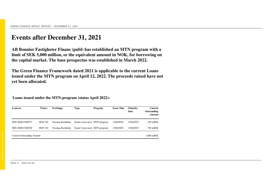### **Events after December 31, 2021**

**AB Bonnier Fastigheter Finans (publ) has established an MTN program with a limit of SEK 5,000 million, or the equivalent amount in NOK, for borrowing on the capital market. The base prospectus was established in March 2022.**

**The Green Finance Framework dated 2021 is applicable to the current Loans issued under the MTN program on April 12, 2022. The proceeds raised have not yet been allocated.**

**Loans issued under the MTN-program (status April 2022):**

| Loan no.                          | <b>Ticker</b>  | Exchange         | Type                         | Program | <b>Issue Date</b> | <b>Maturity</b><br>Date | Current<br>Outstanding<br>Amount |
|-----------------------------------|----------------|------------------|------------------------------|---------|-------------------|-------------------------|----------------------------------|
| ISIN SE0013360757                 | <b>BOF 102</b> | Nasdaq Stockholm | Senior Unsecured MTN-program |         | 12/04/2022        | 12/04/2027              | $250$ mSEK                       |
| ISIN SE0013360740                 | <b>BOF 103</b> | Nasdaq Stockholm | Senior Unsecured MTN-program |         | 12/04/2022        | 12/04/2027              | 750 mSEK                         |
| <b>Current Outstanding Amount</b> |                |                  |                              |         |                   |                         | 1,000 mSEK                       |

S ID A 5 . 2 0 2 2 - 0 4 - 2 9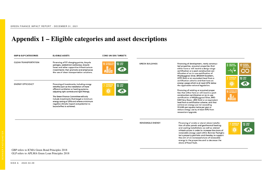# **Appendix 1 – Eligible categories and asset descriptions**

| <b>GBP &amp; GLP CATEGORIES</b>                                                                 | <b>ELIGIBLE ASSETS</b>                                                                                                                                                                                                                                                                                                                                                                            | <b>CORE UN SDG TARGETS</b>                                                |                         |                                                                                                                                                                                                                                                                                                                                                                                                                                                                                                                   |                                                                               |              |
|-------------------------------------------------------------------------------------------------|---------------------------------------------------------------------------------------------------------------------------------------------------------------------------------------------------------------------------------------------------------------------------------------------------------------------------------------------------------------------------------------------------|---------------------------------------------------------------------------|-------------------------|-------------------------------------------------------------------------------------------------------------------------------------------------------------------------------------------------------------------------------------------------------------------------------------------------------------------------------------------------------------------------------------------------------------------------------------------------------------------------------------------------------------------|-------------------------------------------------------------------------------|--------------|
| <b>CLEAN TRANSPORTATION</b>                                                                     | Financing of EV charging points, bicycle<br>garages, pedestrian walkways, bicycle<br>lanes and other supportive infrastructure<br>investments that promote and emphasise<br>the use of clean transportation solutions.                                                                                                                                                                            | <b>13 GLIMATE</b><br><b>1 SUSTAINABLE CITY</b><br><b>1 AND COMMUNITIE</b> | <b>GREEN BUILDINGS</b>  | Financing of development, newly construc-<br>ted properties, acquired properties that<br>either have or will receive a design stage<br>certification or a post-construction cer-<br>tification of an in-use certification of<br>Miljöbyggnad Silver, BREEAM Excellent,<br>LEED Gold or an equivalent level from a<br>certification scheme and that have an                                                                                                                                                        | 3 GOOD HEALTH<br><b>12 ESPONSIBLE</b><br><b>7</b> AFFORDABLE AN<br>13 GLIMATE | AND PRODUCTI |
| <b>ENERGY EFFICIENCY</b>                                                                        | Financing of investments, including energy<br>retrofits such as the installation of more<br>efficient ventilation or heating systems,<br>adjusting light controls and light fittings.<br>The Green Finance Committee will only<br>include investments that target a minimum<br>energy saving of 25% and where a minimum<br>negative climate impact and potential re-<br>bound effect is achieved. | <b>7</b> AFFORDABLE AN<br>13 GLIMATE<br>$\sqrt{17}$<br>ႜၜၟႜ               |                         | energy usage which is at least 20% below<br>the applicable national legislation.<br>Financing of existing or acquired proper<br>ties that either have or will receive a post-<br>construction certification or an in-use<br>certification of Miljöbyggnad Silver, BRE-<br>EAM Very Good, LEED Gold or an equivalent<br>level from a certification scheme, and that<br>achieve an energy use not exceeding<br>95 kWh per square metre per year or<br>reduce energy use by at least 30% from<br>renovation/upgrade. | A La<br>-6<br>SUSTAINABLE CITIES<br>Alle                                      |              |
|                                                                                                 |                                                                                                                                                                                                                                                                                                                                                                                                   |                                                                           | <b>RENEWABLE ENERGY</b> | Financing of onsite or stand-alone installa-<br>tion of solar panels and geothermal heating<br>and cooling installations as well as related<br>infrastructure in order to increase the share of<br>renewable energy used within Bonnier Fastighe-<br>ter's property portfolio and thereby, to support<br>the aim of an increased share of renewable<br>energy in the properties and to decrease the<br>share of fossil fuels.                                                                                     | 7 AFFORDABLE AN<br>$\sqrt{17}$<br>ĭΟ                                          | 13 GLIMATE   |
| GBP refers to ICMA Green Bond Principles 2018<br>GLP refers to APLMA Green Loan Principles 2018 |                                                                                                                                                                                                                                                                                                                                                                                                   |                                                                           |                         |                                                                                                                                                                                                                                                                                                                                                                                                                                                                                                                   |                                                                               |              |

S ID A 6 . 2 0 2 2 - 0 4 - 2 9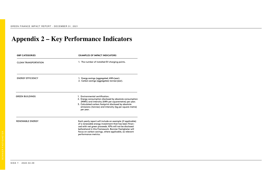# **Appendix 2 – Key Performance Indicators**

| <b>GBP CATEGORIES</b>       | <b>EXAMPLES OF IMPACT INDICATORS</b>                                                                                                                                                                                                                                                                                       |
|-----------------------------|----------------------------------------------------------------------------------------------------------------------------------------------------------------------------------------------------------------------------------------------------------------------------------------------------------------------------|
| <b>CLEAN TRANSPORTATION</b> | 1. The number of installed EV charging points.                                                                                                                                                                                                                                                                             |
| <b>ENERGY EFFICIENCY</b>    | 1. Energy savings (aggregated, kWh/year).<br>2. Carbon savings (aggregated, tonnes/year).                                                                                                                                                                                                                                  |
| <b>GREEN BUILDINGS</b>      | 1. Environmental certification.<br>2. Energy consumption disclosed by absolute consumption<br>(MWh) and intensity (kWh per squaremetre) per year.<br>3. Calculated carbon footprint disclosed by absolute<br>emissions (tonnes) and intensity (kg per square metre)<br>per year.                                           |
| <b>RENEWABLE ENERGY</b>     | Each yearly report will include an example (if applicable)<br>of a renewable energy investment that has been finan-<br>ced with net green proceeds. KPIs will not be disclosed<br>beforehand in this Framework. Bonnier Fastigheter will<br>focus on carbon savings, where applicable, as relevant<br>performance metrics. |
|                             |                                                                                                                                                                                                                                                                                                                            |

S ID A <sup>7</sup> . 2 0 2 2 - 0 4 - 2 9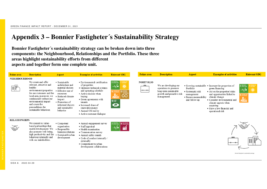## **Appendix 3 – Bonnier Fastigheter´s Sustainability Strategy**

**Bonnier Fastigheter´s sustainability strategy can be broken down into three components: the Neighbourhood, Relationships and the Portfolio. These three areas highlight sustainability efforts from differentaspects and together form one complete unit.**

| <b>Fokus</b> area    | <b>Description</b>                                                                                                                                                                                                                                                 | <b>Aspect</b>                                                                                                                                                                                | <b>Examples of activities</b>                                                                                                                                                                                                                                                      | <b>Relevant SDG</b>                                                                                                                | Fokus area                    | <b>Description</b>                                                                                                  | Aspect                                                                                  | <b>Examples of activities</b>                                                                                                                                                                                                                                                   | <b>Relevant SDG</b>                                     |
|----------------------|--------------------------------------------------------------------------------------------------------------------------------------------------------------------------------------------------------------------------------------------------------------------|----------------------------------------------------------------------------------------------------------------------------------------------------------------------------------------------|------------------------------------------------------------------------------------------------------------------------------------------------------------------------------------------------------------------------------------------------------------------------------------|------------------------------------------------------------------------------------------------------------------------------------|-------------------------------|---------------------------------------------------------------------------------------------------------------------|-----------------------------------------------------------------------------------------|---------------------------------------------------------------------------------------------------------------------------------------------------------------------------------------------------------------------------------------------------------------------------------|---------------------------------------------------------|
| <b>NEIGHBOURHOOD</b> |                                                                                                                                                                                                                                                                    |                                                                                                                                                                                              |                                                                                                                                                                                                                                                                                    |                                                                                                                                    |                               |                                                                                                                     |                                                                                         |                                                                                                                                                                                                                                                                                 |                                                         |
| 器                    | We create and offer<br>relevant, attractive and<br>healthy<br>environments/properties<br>for our customers and the<br>local area, moreover, we<br>continuously reduce our<br>environmental impact<br>and create the<br>preconditions for<br>sustainable behaviour. | • Sustainable<br>architecture and<br>material choices<br>• Effective use of<br>resources<br>• Reduced climate<br>impact<br>• Promotion of<br>informed choices<br>and sustainable<br>behavior | · Environmental certification<br>of properties<br>· Optimize technical systems<br>and operating schedule<br>• Active choices when<br>buving<br>• Green agreements with<br>tenants<br>• Increased share of<br>renewable energy<br>• Annual CSI survey<br>• Active customer dialogue | 3 DOOD HEACH<br>AFFORDABLE AND<br>☀<br>$-w$<br>12 ESPOSELE<br>1 SECTABARALE C<br><b>Alla</b><br>$\infty$<br>13 SUNATE<br>$\bullet$ | <b>PORTFOLIO</b><br>o.<br>--- | We are developing our<br>operations to promote<br>long-term sustainable<br>growth and proactive risk<br>management. | Portfolio<br>• Systematic risk<br>management<br>· Ensure measurability<br>and follow-up | • Growing sustainable • Increase the proportion of<br>green financing<br>• Act on the properties' risks<br>and opportunities linked to<br>climate change<br>· Consider environmental and<br>climate aspects when<br>acquiring<br>• Have a low financial and<br>operational risk | 3 5000 HEALTH<br>渙<br>SUSTAINABLE CITIES<br><b>Alla</b> |
| <b>RELATIONSHIPS</b> |                                                                                                                                                                                                                                                                    |                                                                                                                                                                                              |                                                                                                                                                                                                                                                                                    |                                                                                                                                    |                               |                                                                                                                     |                                                                                         |                                                                                                                                                                                                                                                                                 |                                                         |
|                      | We commit to value-<br>based partnerships that<br>enable development. We<br>also promote well-being,<br>high productivity and fair<br>behaviour internally and<br>with our stakeholders.                                                                           | • Competent<br>organisation<br>• Responsible<br>business relations<br>· Sustainable urban<br>development                                                                                     | • Annual engagement survey<br>• Staff appraisal<br>• Health examination<br>• Commensation survey<br>• Annual safety rounds<br>• Code of conduct internally /<br>externally<br>• Commitment to urban<br>development collaborations                                                  | 3 DOOD HULLER<br>8 DECENT WORK AND                                                                                                 |                               |                                                                                                                     |                                                                                         | -0-                                                                                                                                                                                                                                                                             | 闘髎<br>Bonnier Fastigheter's sustainability strategy     |

S ID A 8 . 2 0 2 2 - 0 4 - 2 9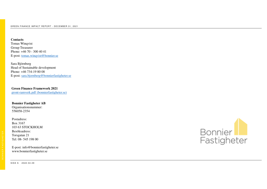**Contacts** Tomas Winqvist Group Treasurer Phone: +46 70 - 300 40 41E-post: tomas.winqvist@bonnier.se

Sara Björnberg Head of Sustainable developmentPhone: +46 734-19 80 08E-post: sara.bjornberg@bonnierfastigheter.se

**Green Finance Framework 2021**gront-ramverk.pdf (bonnierfastigheter.se)

**Bonnier Fastigheter AB**Organisationsnummer:556058-2354

Postadress:Box 3167 103 63 STOCKHOLMBesöksadress:Torsgatan 21Tel: 08- 545 198 00



E-post: info@bonnierfastigheter.sewww.bonnierfastigheter.se

S ID A 9 . 2 0 2 2 - 0 4 - 2 9